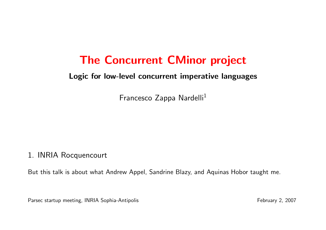# The Concurrent CMinor project

#### Logic for low-level concurrent imperative languages

Francesco Zappa Nardelli<sup>1</sup>

#### 1. INRIA Rocquencourt

But this talk is about what Andrew Appel, Sandrine Blazy, and Aquinas Hobor taught me.

Parsec startup meeting, INRIA Sophia-Antipolis February 2, 2007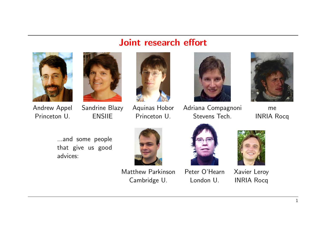#### Joint research effort









Andrew Appel Sandrine Blazy Aquinas Hobor Adriana Compagnoni me Princeton U. **ENSILE** Princeton U. Stevens Tech. INRIA Rocq



...and some people that give us good advices:



Matthew Parkinson Peter O'Hearn Xavier Leroy Cambridge U. London U. INRIA Rocq



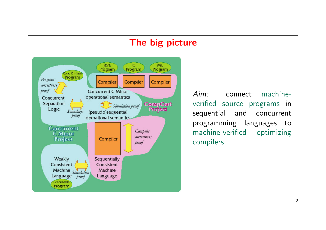#### The big picture



Aim: connect machineverified source programs in sequential and concurrent programming languages to machine-verified optimizing compilers.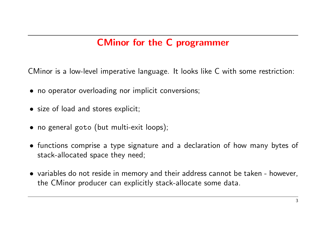# CMinor for the C programmer

CMinor is a low-level imperative language. It looks like C with some restriction:

- no operator overloading nor implicit conversions;
- size of load and stores explicit;
- no general goto (but multi-exit loops);
- functions comprise a type signature and a declaration of how many bytes of stack-allocated space they need;
- variables do not reside in memory and their address cannot be taken however, the CMinor producer can explicitly stack-allocate some data.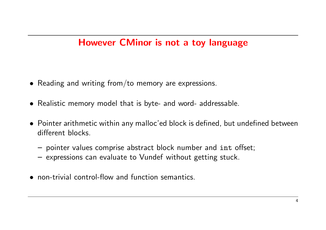# However CMinor is not a toy language

- Reading and writing from/to memory are expressions.
- Realistic memory model that is byte- and word- addressable.
- Pointer arithmetic within any malloc'ed block is defined, but undefined between different blocks.
	- pointer values comprise abstract block number and int offset;
	- expressions can evaluate to Vundef without getting stuck.
- non-trivial control-flow and function semantics.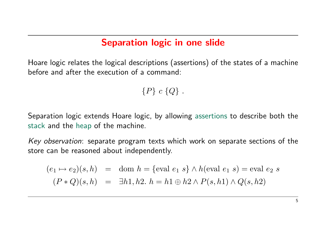#### Separation logic in one slide

Hoare logic relates the logical descriptions (assertions) of the states of a machine before and after the execution of a command:

 ${P} c {Q}.$ 

Separation logic extends Hoare logic, by allowing assertions to describe both the stack and the heap of the machine.

Key observation: separate program texts which work on separate sections of the store can be reasoned about independently.

$$
(e_1 \mapsto e_2)(s, h) = \text{dom } h = \{\text{eval } e_1 \ s\} \land h(\text{eval } e_1 \ s) = \text{eval } e_2 \ s
$$

$$
(P * Q)(s, h) = \exists h1, h2. \ h = h1 \oplus h2 \land P(s, h1) \land Q(s, h2)
$$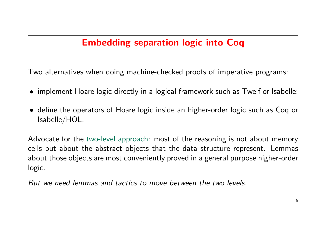# Embedding separation logic into Coq

Two alternatives when doing machine-checked proofs of imperative programs:

- implement Hoare logic directly in a logical framework such as Twelf or Isabelle;
- define the operators of Hoare logic inside an higher-order logic such as Coq or Isabelle/HOL.

Advocate for the two-level approach: most of the reasoning is not about memory cells but about the abstract objects that the data structure represent. Lemmas about those objects are most conveniently proved in a general purpose higher-order logic.

But we need lemmas and tactics to move between the two levels.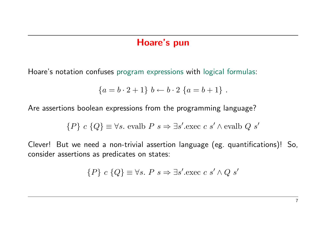#### Hoare's pun

Hoare's notation confuses program expressions with logical formulas:

$$
\{a = b \cdot 2 + 1\} b \leftarrow b \cdot 2 \{a = b + 1\} .
$$

Are assertions boolean expressions from the programming language?

$$
{P} c {Q} \equiv \forall s
$$
. evalb  $P s \Rightarrow \exists s'$ .exec  $c s' \wedge \text{evalb } Q s'$ 

Clever! But we need a non-trivial assertion language (eg. quantifications)! So, consider assertions as predicates on states:

$$
\{P\} \ c \ \{Q\} \equiv \forall s. \ P \ s \Rightarrow \exists s'. \text{exec } c \ s' \land Q \ s'
$$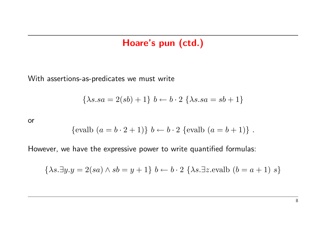#### Hoare's pun (ctd.)

With assertions-as-predicates we must write

$$
\{\lambda s. sa = 2(sb) + 1\} b \leftarrow b \cdot 2 \{\lambda s. sa = sb + 1\}
$$

or

$$
\{\text{evalb} \ (a = b \cdot 2 + 1)\}\ b \leftarrow b \cdot 2 \ \{\text{evalb} \ (a = b + 1)\} \ .
$$

However, we have the expressive power to write quantified formulas:

$$
\{\lambda s. \exists y. y = 2(sa) \land sb = y + 1\} b \leftarrow b \cdot 2 \{\lambda s. \exists z. \text{evalb} (b = a + 1) s\}
$$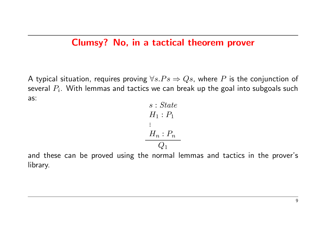#### Clumsy? No, in a tactical theorem prover

A typical situation, requires proving  $\forall s.Ps \Rightarrow Qs$ , where P is the conjunction of several  $P_i.$  With lemmas and tactics we can break up the goal into subgoals such as:

s : State  $H_1 : P_1$ ...  $H_n : P_n$  $\overline{Q_1}$ 

and these can be proved using the normal lemmas and tactics in the prover's library.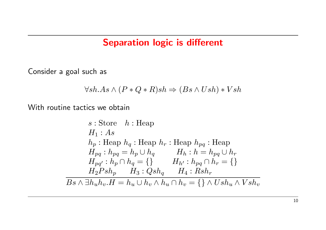#### Separation logic is different

Consider a goal such as

$$
\forall sh. As \land (P * Q * R)sh \Rightarrow (Bs \land Ush) * Vsh
$$

With routine tactics we obtain

s : Store 
$$
h
$$
 : Heap  
\n $H_1: As$   
\n $h_p$  : Heap  $h_q$  : Heap  $h_r$  : Heap  $h_{pq}$  : Heap  
\n $H_{pq}: h_{pq} = h_p \cup h_q$   $H_h: h = h_{pq} \cup h_r$   
\n $H_{pq'}: h_p \cap h_q = \{\}$   $H_{h'}: h_{pq} \cap h_r = \{\}$   
\n $H_2Psh_p$   $H_3: Qsh_q$   $H_4: Rsh_r$   
\n $Bs \wedge \exists h_u h_v.H = h_u \cup h_v \wedge h_u \cap h_v = \{\} \wedge Ush_u \wedge Vsh_v$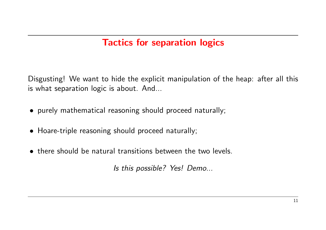# Tactics for separation logics

Disgusting! We want to hide the explicit manipulation of the heap: after all this is what separation logic is about. And...

- purely mathematical reasoning should proceed naturally;
- Hoare-triple reasoning should proceed naturally;
- there should be natural transitions between the two levels.

Is this possible? Yes! Demo...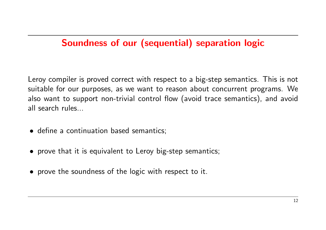# Soundness of our (sequential) separation logic

Leroy compiler is proved correct with respect to a big-step semantics. This is not suitable for our purposes, as we want to reason about concurrent programs. We also want to support non-trivial control flow (avoid trace semantics), and avoid all search rules

- define a continuation based semantics;
- prove that it is equivalent to Leroy big-step semantics;
- prove the soundness of the logic with respect to it.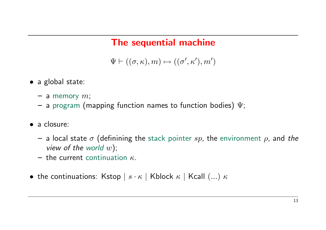# The sequential machine

 $\Psi \vdash ((\sigma, \kappa), m) \mapsto ((\sigma', \kappa'), m')$ 

- a global state:
	- a memory  $m$ ;
	- $-$  a program (mapping function names to function bodies)  $\Psi$ ;
- a closure:
	- a local state  $\sigma$  (definining the stack pointer sp, the environment  $\rho$ , and the view of the world  $w$ );
	- the current continuation  $\kappa$ .
- the continuations: Kstop  $|s \cdot \kappa|$  Kblock  $\kappa$  | Kcall  $(...) \kappa$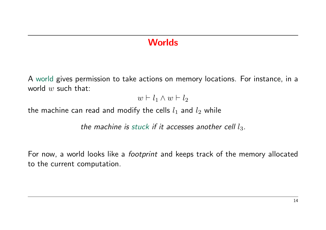## **Worlds**

A world gives permission to take actions on memory locations. For instance, in a world  $w$  such that:

 $w \vdash l_1 \wedge w \vdash l_2$ 

the machine can read and modify the cells  $l_1$  and  $l_2$  while

the machine is stuck if it accesses another cell  $l_3$ .

For now, a world looks like a *footprint* and keeps track of the memory allocated to the current computation.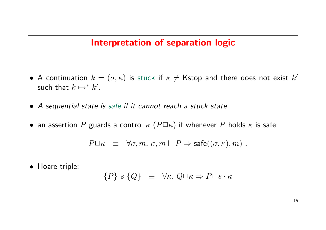#### Interpretation of separation logic

- A continuation  $k=(\sigma,\kappa)$  is stuck if  $\kappa\neq K$ stop and there does not exist  $k'$ such that  $k \mapsto^* k'$ .
- A sequential state is safe if it cannot reach a stuck state.
- an assertion  $P$  guards a control  $\kappa$  ( $P\square\kappa$ ) if whenever  $P$  holds  $\kappa$  is safe:

$$
P\Box \kappa \equiv \forall \sigma, m. \; \sigma, m \vdash P \Rightarrow \mathsf{safe}((\sigma, \kappa), m) \; .
$$

• Hoare triple:

$$
\{P\}\ s\ \{Q\}\ \ \equiv\ \ \forall \kappa.\ Q\Box\kappa \Rightarrow P\Box s\cdot \kappa
$$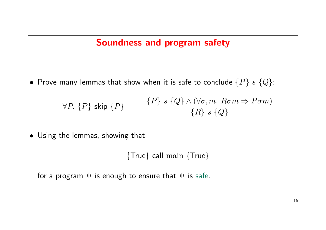#### Soundness and program safety

• Prove many lemmas that show when it is safe to conclude  $\{P\}$  s  $\{Q\}$ :

$$
\forall P. \{P\} \text{ skip } \{P\} \qquad \qquad \frac{\{P\} \ s \{Q\} \land (\forall \sigma, m. \ R \sigma m \Rightarrow P \sigma m)}{\{R\} \ s \{Q\}}
$$

• Using the lemmas, showing that

{True} call main {True}

for a program  $\Psi$  is enough to ensure that  $\Psi$  is safe.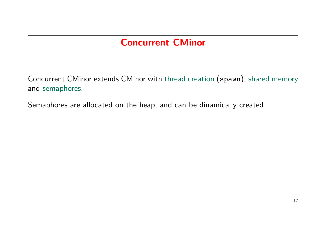# Concurrent CMinor

Concurrent CMinor extends CMinor with thread creation (spawn), shared memory and semaphores.

Semaphores are allocated on the heap, and can be dinamically created.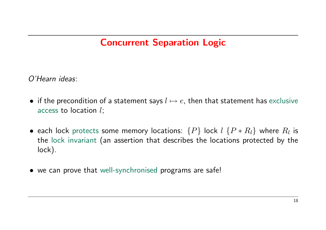# Concurrent Separation Logic

O'Hearn ideas:

- if the precondition of a statement says  $l \mapsto e$ , then that statement has exclusive access to location l;
- $\bullet$  each lock protects some memory locations:  $\{P\}$  lock  $l$   $\{P \ast R_l\}$  where  $R_l$  is the lock invariant (an assertion that describes the locations protected by the lock).
- we can prove that well-synchronised programs are safe!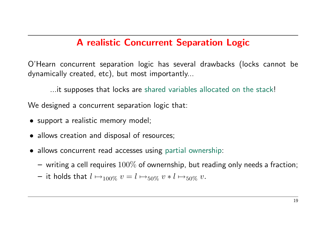## A realistic Concurrent Separation Logic

O'Hearn concurrent separation logic has several drawbacks (locks cannot be dynamically created, etc), but most importantly...

...it supposes that locks are shared variables allocated on the stack!

We designed a concurrent separation logic that:

- support a realistic memory model;
- allows creation and disposal of resources;
- allows concurrent read accesses using partial ownership:
	- $-$  writing a cell requires  $100\%$  of ownernship, but reading only needs a fraction;
	- it holds that  $l \mapsto_{100\%} v = l \mapsto_{50\%} v * l \mapsto_{50\%} v$ .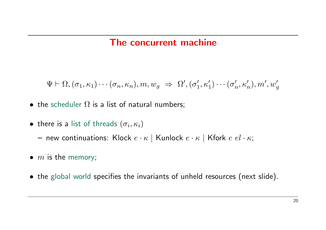#### The concurrent machine

 $\Psi \vdash \Omega, (\sigma_1, \kappa_1) \cdots (\sigma_n, \kappa_n), m, w_g \Rightarrow \Omega', (\sigma'_1)$  $\sigma'_1, \kappa'_1) \cdots (\sigma'_r$  $\mathcal{H}_n',\kappa'_n), m',w'_g$ 

- the scheduler  $\Omega$  is a list of natural numbers;
- $\bullet\,$  there is a list of threads  $(\sigma_i,\kappa_i)$ 
	- new continuations: Klock  $e \cdot \kappa$  | Kunlock  $e \cdot \kappa$  | Kfork  $e \cdot e \cdot \kappa$ ;
- $m$  is the memory;
- the global world specifies the invariants of unheld resources (next slide).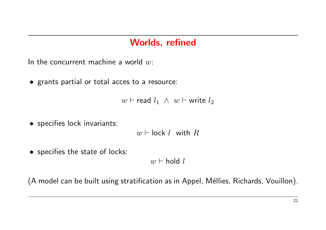#### Worlds, refined

In the concurrent machine a world  $w$ :

• grants partial or total acces to a resource:

```
w ⊢ read l_1 \wedge w ⊢ write l_2
```
• specifies lock invariants:

 $w \vdash \textsf{lock} \ l$  with  $R$ 

• specifies the state of locks:

 $w \vdash \text{hold } l$ 

(A model can be built using stratification as in Appel, Méllies, Richards, Vouillon).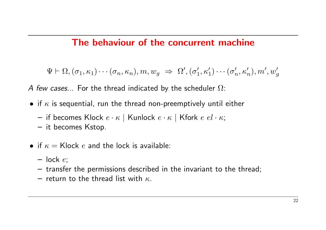## The behaviour of the concurrent machine

 $\Psi \vdash \Omega, (\sigma_1, \kappa_1) \cdots (\sigma_n, \kappa_n), m, w_g \Rightarrow \Omega', (\sigma_1'$  $\sigma'_1, \kappa'_1) \cdots (\sigma'_r$  $\mathcal{H}_n',\kappa'_n), m',w'_g$ 

A few cases... For the thread indicated by the scheduler  $\Omega$ :

- if  $\kappa$  is sequential, run the thread non-preemptively until either
	- if becomes Klock  $e \cdot \kappa$  | Kunlock  $e \cdot \kappa$  | Kfork  $e \cdot e \cdot \kappa$ ;
	- it becomes Kstop.
- if  $\kappa =$  Klock  $e$  and the lock is available:
	- $-$  lock  $e$ ;
	- transfer the permissions described in the invariant to the thread;
	- return to the thread list with  $\kappa$ .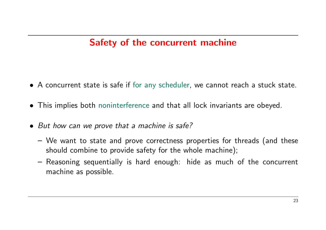# Safety of the concurrent machine

- A concurrent state is safe if for any scheduler, we cannot reach a stuck state.
- This implies both noninterference and that all lock invariants are obeyed.
- But how can we prove that a machine is safe?
	- We want to state and prove correctness properties for threads (and these should combine to provide safety for the whole machine);
	- Reasoning sequentially is hard enough: hide as much of the concurrent machine as possible.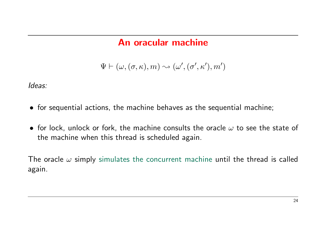## An oracular machine

 $\Psi \vdash (\omega, (\sigma, \kappa), m) \leadsto (\omega', (\sigma', \kappa'), m')$ 

Ideas:

- for sequential actions, the machine behaves as the sequential machine;
- for lock, unlock or fork, the machine consults the oracle  $\omega$  to see the state of the machine when this thread is scheduled again.

The oracle  $\omega$  simply simulates the concurrent machine until the thread is called again.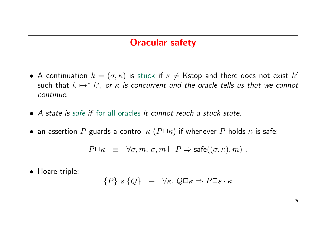#### Oracular safety

- A continuation  $k = (\sigma, \kappa)$  is stuck if  $\kappa \neq$  Kstop and there does not exist  $k'$ such that  $k \mapsto^* k'$ , or  $\kappa$  is concurrent and the oracle tells us that we cannot continue.
- A state is safe if for all oracles it cannot reach a stuck state.
- an assertion P guards a control  $\kappa$  ( $P\square\kappa$ ) if whenever P holds  $\kappa$  is safe:

$$
P\square \kappa \;\; \equiv \;\; \forall \sigma, m. \;\sigma, m \vdash P \Rightarrow \mathsf{safe}((\sigma, \kappa), m) \; .
$$

• Hoare triple:

$$
\{P\} \ s \ \{Q\} \ \equiv \ \forall \kappa. \ Q \Box \kappa \Rightarrow P \Box s \cdot \kappa
$$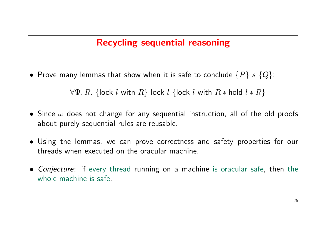# Recycling sequential reasoning

• Prove many lemmas that show when it is safe to conclude  $\{P\}$  s  $\{Q\}$ :

 $\forall \Psi, R$ . {lock l with  $R$ } lock l {lock l with  $R *$  hold  $l * R$ }

- Since  $\omega$  does not change for any sequential instruction, all of the old proofs about purely sequential rules are reusable.
- Using the lemmas, we can prove correctness and safety properties for our threads when executed on the oracular machine.
- Conjecture: if every thread running on a machine is oracular safe, then the whole machine is safe.